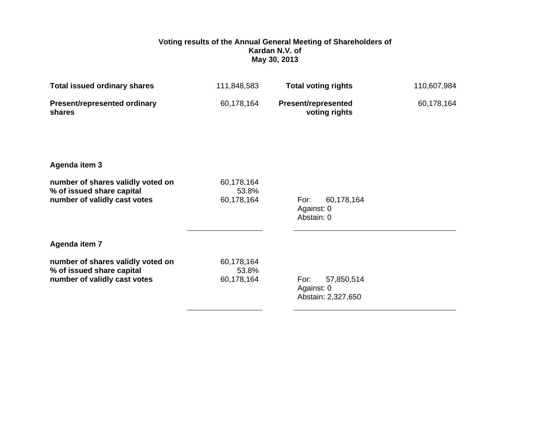## **Voting results of the Annual General Meeting of Shareholders of Kardan N.V. of May 30, 2013**

| <b>Total issued ordinary shares</b>                                                            | 111,848,583                       | <b>Total voting rights</b>                             | 110,607,984 |
|------------------------------------------------------------------------------------------------|-----------------------------------|--------------------------------------------------------|-------------|
| <b>Present/represented ordinary</b><br>shares                                                  | 60,178,164                        | <b>Present/represented</b><br>voting rights            | 60,178,164  |
| Agenda item 3                                                                                  |                                   |                                                        |             |
| number of shares validly voted on<br>% of issued share capital<br>number of validly cast votes | 60,178,164<br>53.8%<br>60,178,164 | 60,178,164<br>For:<br>Against: 0<br>Abstain: 0         |             |
| Agenda item 7                                                                                  |                                   |                                                        |             |
| number of shares validly voted on<br>% of issued share capital<br>number of validly cast votes | 60,178,164<br>53.8%<br>60,178,164 | For:<br>57,850,514<br>Against: 0<br>Abstain: 2,327,650 |             |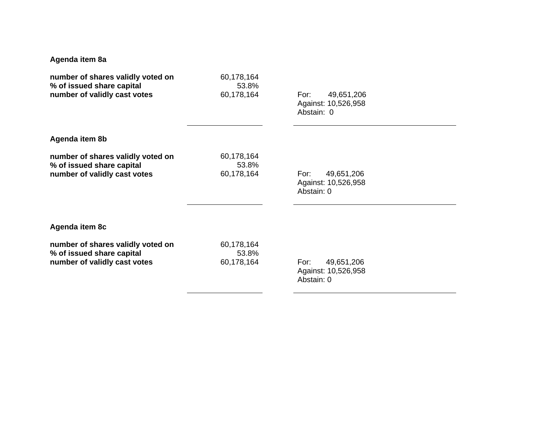## **Agenda item 8a**

| number of shares validly voted on<br>% of issued share capital<br>number of validly cast votes | 60,178,164<br>53.8%<br>60,178,164 | 49,651,206<br>For:<br>Against: 10,526,958<br>Abstain: 0 |
|------------------------------------------------------------------------------------------------|-----------------------------------|---------------------------------------------------------|
| Agenda item 8b                                                                                 |                                   |                                                         |
| number of shares validly voted on<br>% of issued share capital<br>number of validly cast votes | 60,178,164<br>53.8%<br>60,178,164 | 49,651,206<br>For:<br>Against: 10,526,958<br>Abstain: 0 |
| Agenda item 8c                                                                                 |                                   |                                                         |
| number of shares validly voted on<br>% of issued share capital<br>number of validly cast votes | 60,178,164<br>53.8%<br>60,178,164 | 49,651,206<br>For:<br>Against: 10,526,958<br>Abstain: 0 |